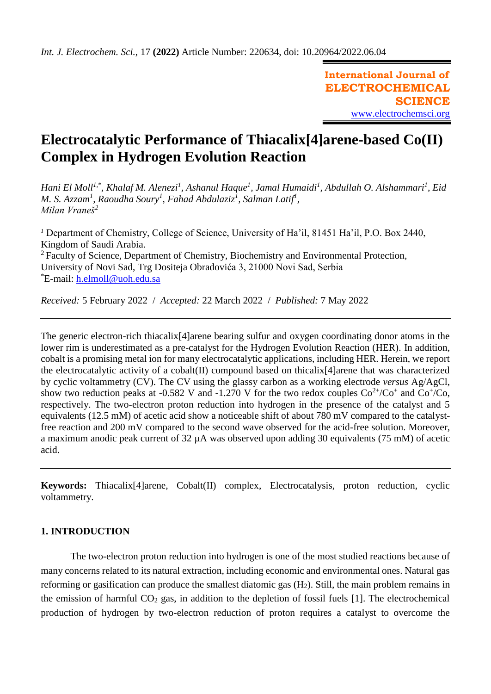**International Journal of ELECTROCHEMICAL SCIENCE** [www.electrochemsci.org](http://www.electrochemsci.org/)

# **Electrocatalytic Performance of Thiacalix[4]arene-based Co(II) Complex in Hydrogen Evolution Reaction**

*Hani El Moll1,\* , Khalaf M. Alenezi<sup>1</sup> , Ashanul Haque<sup>1</sup> , Jamal Humaidi<sup>1</sup> , Abdullah O. Alshammari<sup>1</sup> , Eid M. S. Azzam<sup>1</sup> , Raoudha Soury<sup>1</sup> , Fahad Abdulaziz<sup>1</sup> , Salman Latif<sup>1</sup> , Milan Vraneš<sup>2</sup>*

*<sup>1</sup>* Department of Chemistry, College of Science, University of Ha'il, 81451 Ha'il, P.O. Box 2440, Kingdom of Saudi Arabia. <sup>2</sup> Faculty of Science, Department of Chemistry, Biochemistry and Environmental Protection, University of Novi Sad, Trg Dositeja Obradovića 3, 21000 Novi Sad, Serbia \*E-mail: [h.elmoll@uoh.edu.sa](mailto:h.elmoll@uoh.edu.sa)

*Received:* 5 February 2022/ *Accepted:* 22 March 2022 / *Published:* 7 May 2022

The generic electron-rich thiacalix[4]arene bearing sulfur and oxygen coordinating donor atoms in the lower rim is underestimated as a pre-catalyst for the Hydrogen Evolution Reaction (HER). In addition, cobalt is a promising metal ion for many electrocatalytic applications, including HER. Herein, we report the electrocatalytic activity of a cobalt(II) compound based on thicalix[4]arene that was characterized by cyclic voltammetry (CV). The CV using the glassy carbon as a working electrode *versus* Ag/AgCl, show two reduction peaks at -0.582 V and -1.270 V for the two redox couples  $Co^{2+}/Co^{+}$  and  $Co^{+}/Co$ , respectively. The two-electron proton reduction into hydrogen in the presence of the catalyst and 5 equivalents (12.5 mM) of acetic acid show a noticeable shift of about 780 mV compared to the catalystfree reaction and 200 mV compared to the second wave observed for the acid-free solution. Moreover, a maximum anodic peak current of 32 µA was observed upon adding 30 equivalents (75 mM) of acetic acid.

**Keywords:** Thiacalix[4]arene, Cobalt(II) complex, Electrocatalysis, proton reduction, cyclic voltammetry.

## **1. INTRODUCTION**

The two-electron proton reduction into hydrogen is one of the most studied reactions because of many concerns related to its natural extraction, including economic and environmental ones. Natural gas reforming or gasification can produce the smallest diatomic gas  $(H<sub>2</sub>)$ . Still, the main problem remains in the emission of harmful  $CO<sub>2</sub>$  gas, in addition to the depletion of fossil fuels [1]. The electrochemical production of hydrogen by two-electron reduction of proton requires a catalyst to overcome the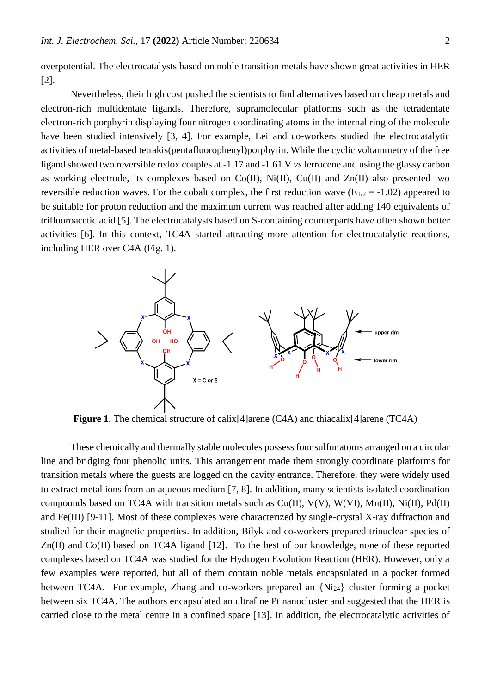overpotential. The electrocatalysts based on noble transition metals have shown great activities in HER [2].

Nevertheless, their high cost pushed the scientists to find alternatives based on cheap metals and electron-rich multidentate ligands. Therefore, supramolecular platforms such as the tetradentate electron-rich porphyrin displaying four nitrogen coordinating atoms in the internal ring of the molecule have been studied intensively [3, 4]. For example, Lei and co-workers studied the electrocatalytic activities of metal-based tetrakis(pentafluorophenyl)porphyrin. While the cyclic voltammetry of the free ligand showed two reversible redox couples at -1.17 and -1.61 V *vs* ferrocene and using the glassy carbon as working electrode, its complexes based on Co(II), Ni(II), Cu(II) and Zn(II) also presented two reversible reduction waves. For the cobalt complex, the first reduction wave  $(E_{1/2} = -1.02)$  appeared to be suitable for proton reduction and the maximum current was reached after adding 140 equivalents of trifluoroacetic acid [5]. The electrocatalysts based on S-containing counterparts have often shown better activities [6]. In this context, TC4A started attracting more attention for electrocatalytic reactions, including HER over C4A (Fig. 1).



**Figure 1.** The chemical structure of calix<sup>[4]</sup>arene (C4A) and thiacalix<sup>[4]</sup>arene (TC4A)

These chemically and thermally stable molecules possess four sulfur atoms arranged on a circular line and bridging four phenolic units. This arrangement made them strongly coordinate platforms for transition metals where the guests are logged on the cavity entrance. Therefore, they were widely used to extract metal ions from an aqueous medium [7, 8]. In addition, many scientists isolated coordination compounds based on TC4A with transition metals such as Cu(II), V(V), W(VI), Mn(II), Ni(II), Pd(II) and Fe(III) [9-11]. Most of these complexes were characterized by single-crystal X-ray diffraction and studied for their magnetic properties. In addition, Bilyk and co-workers prepared trinuclear species of Zn(II) and Co(II) based on TC4A ligand [12]. To the best of our knowledge, none of these reported complexes based on TC4A was studied for the Hydrogen Evolution Reaction (HER). However, only a few examples were reported, but all of them contain noble metals encapsulated in a pocket formed between TC4A. For example, Zhang and co-workers prepared an {Ni24} cluster forming a pocket between six TC4A. The authors encapsulated an ultrafine Pt nanocluster and suggested that the HER is carried close to the metal centre in a confined space [13]. In addition, the electrocatalytic activities of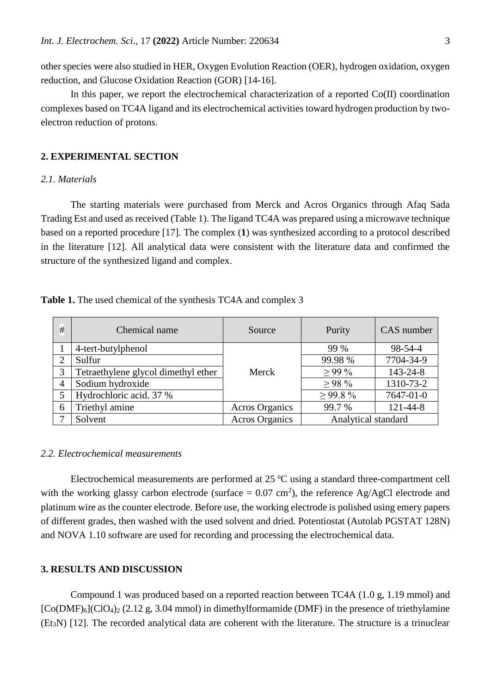other species were also studied in HER, Oxygen Evolution Reaction (OER), hydrogen oxidation, oxygen reduction, and Glucose Oxidation Reaction (GOR) [14-16].

In this paper, we report the electrochemical characterization of a reported Co(II) coordination complexes based on TC4A ligand and its electrochemical activities toward hydrogen production by twoelectron reduction of protons.

## **2. EXPERIMENTAL SECTION**

## *2.1. Materials*

The starting materials were purchased from Merck and Acros Organics through Afaq Sada Trading Est and used as received (Table 1). The ligand TC4A was prepared using a microwave technique based on a reported procedure [17]. The complex (**1**) was synthesized according to a protocol described in the literature [12]. All analytical data were consistent with the literature data and confirmed the structure of the synthesized ligand and complex.

**Table 1.** The used chemical of the synthesis TC4A and complex 3

| # | Chemical name                       | Source                | Purity              | CAS number |
|---|-------------------------------------|-----------------------|---------------------|------------|
|   | 4-tert-butylphenol                  | Merck                 | 99 %                | 98-54-4    |
|   | Sulfur                              |                       | 99.98 %             | 7704-34-9  |
| 3 | Tetraethylene glycol dimethyl ether |                       | $>99\%$             | 143-24-8   |
| 4 | Sodium hydroxide                    |                       | $>98\%$             | 1310-73-2  |
| 5 | Hydrochloric acid. 37 %             |                       | $>99.8\%$           | 7647-01-0  |
| 6 | Triethyl amine                      | <b>Acros Organics</b> | 99.7 %              | 121-44-8   |
|   | Solvent                             | <b>Acros Organics</b> | Analytical standard |            |

#### *2.2. Electrochemical measurements*

Electrochemical measurements are performed at 25 ºC using a standard three-compartment cell with the working glassy carbon electrode (surface  $= 0.07$  cm<sup>2</sup>), the reference Ag/AgCl electrode and platinum wire as the counter electrode. Before use, the working electrode is polished using emery papers of different grades, then washed with the used solvent and dried. Potentiostat (Autolab PGSTAT 128N) and NOVA 1.10 software are used for recording and processing the electrochemical data.

### **3. RESULTS AND DISCUSSION**

Compound 1 was produced based on a reported reaction between TC4A (1.0 g, 1.19 mmol) and  $[Co(DMF)_6]$  $(CIO_4)_2$  (2.12 g, 3.04 mmol) in dimethylformamide (DMF) in the presence of triethylamine (Et3N) [12]. The recorded analytical data are coherent with the literature. The structure is a trinuclear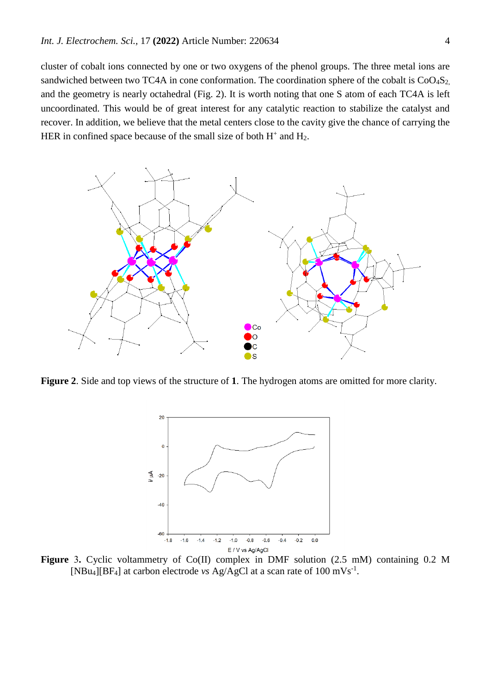cluster of cobalt ions connected by one or two oxygens of the phenol groups. The three metal ions are sandwiched between two TC4A in cone conformation. The coordination sphere of the cobalt is CoO<sub>4</sub>S<sub>2</sub>, and the geometry is nearly octahedral (Fig. 2). It is worth noting that one S atom of each TC4A is left uncoordinated. This would be of great interest for any catalytic reaction to stabilize the catalyst and recover. In addition, we believe that the metal centers close to the cavity give the chance of carrying the HER in confined space because of the small size of both  $H^+$  and  $H_2$ .



**Figure 2**. Side and top views of the structure of **1**. The hydrogen atoms are omitted for more clarity.



**Figure** 3**.** Cyclic voltammetry of Co(II) complex in DMF solution (2.5 mM) containing 0.2 M [NBu<sub>4</sub>][BF<sub>4</sub>] at carbon electrode *vs* Ag/AgCl at a scan rate of 100 mVs<sup>-1</sup>.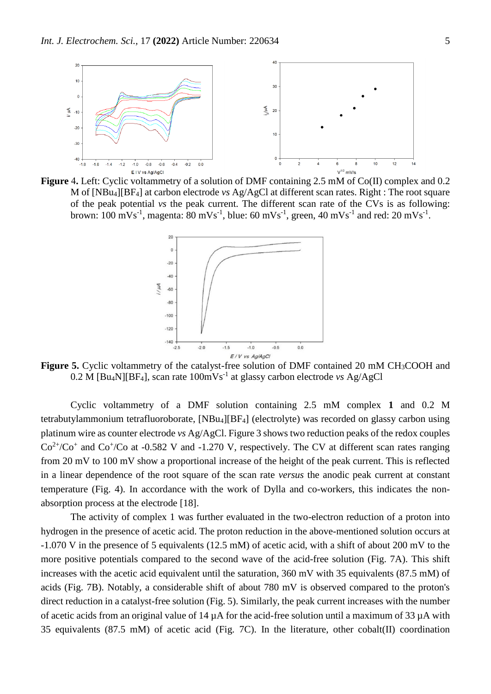

**Figure** 4**.** Left: Cyclic voltammetry of a solution of DMF containing 2.5 mM of Co(II) complex and 0.2 M of [NBu4][BF4] at carbon electrode *vs* Ag/AgCl at different scan rates. Right : The root square of the peak potential *vs* the peak current. The different scan rate of the CVs is as following: brown: 100 mVs<sup>-1</sup>, magenta: 80 mVs<sup>-1</sup>, blue: 60 mVs<sup>-1</sup>, green, 40 mVs<sup>-1</sup> and red: 20 mVs<sup>-1</sup>.



Figure 5. Cyclic voltammetry of the catalyst-free solution of DMF contained 20 mM CH<sub>3</sub>COOH and 0.2 M [Bu4N][BF4], scan rate 100mVs-1 at glassy carbon electrode *vs* Ag/AgCl

Cyclic voltammetry of a DMF solution containing 2.5 mM complex **1** and 0.2 M tetrabutylammonium tetrafluoroborate, [NBu4][BF4] (electrolyte) was recorded on glassy carbon using platinum wire as counter electrode *vs* Ag/AgCl. Figure 3 shows two reduction peaks of the redox couples  $Co<sup>2+</sup>/Co<sup>+</sup>$  and  $Co<sup>+</sup>/Co$  at -0.582 V and -1.270 V, respectively. The CV at different scan rates ranging from 20 mV to 100 mV show a proportional increase of the height of the peak current. This is reflected in a linear dependence of the root square of the scan rate *versus* the anodic peak current at constant temperature (Fig. 4). In accordance with the work of Dylla and co-workers, this indicates the nonabsorption process at the electrode [18].

The activity of complex 1 was further evaluated in the two-electron reduction of a proton into hydrogen in the presence of acetic acid. The proton reduction in the above-mentioned solution occurs at -1.070 V in the presence of 5 equivalents (12.5 mM) of acetic acid, with a shift of about 200 mV to the more positive potentials compared to the second wave of the acid-free solution (Fig. 7A). This shift increases with the acetic acid equivalent until the saturation, 360 mV with 35 equivalents (87.5 mM) of acids (Fig. 7B). Notably, a considerable shift of about 780 mV is observed compared to the proton's direct reduction in a catalyst-free solution (Fig. 5). Similarly, the peak current increases with the number of acetic acids from an original value of 14  $\mu$ A for the acid-free solution until a maximum of 33  $\mu$ A with 35 equivalents (87.5 mM) of acetic acid (Fig. 7C). In the literature, other cobalt(II) coordination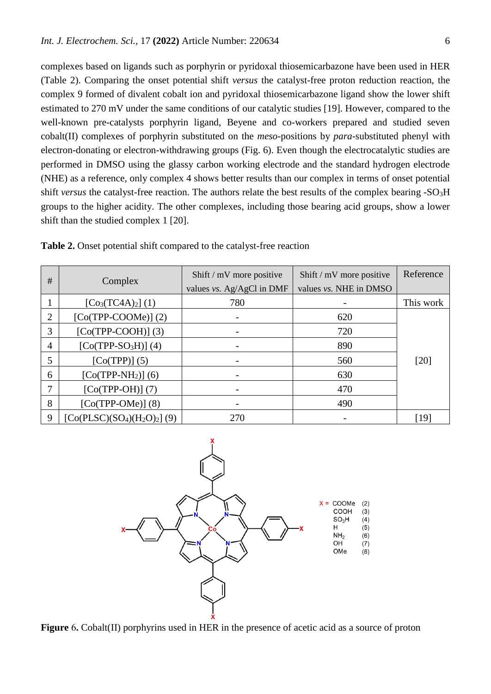complexes based on ligands such as porphyrin or pyridoxal thiosemicarbazone have been used in HER (Table 2). Comparing the onset potential shift *versus* the catalyst-free proton reduction reaction, the complex 9 formed of divalent cobalt ion and pyridoxal thiosemicarbazone ligand show the lower shift estimated to 270 mV under the same conditions of our catalytic studies [19]. However, compared to the well-known pre-catalysts porphyrin ligand, Beyene and co-workers prepared and studied seven cobalt(II) complexes of porphyrin substituted on the *meso*-positions by *para*-substituted phenyl with electron-donating or electron-withdrawing groups (Fig. 6). Even though the electrocatalytic studies are performed in DMSO using the glassy carbon working electrode and the standard hydrogen electrode (NHE) as a reference, only complex 4 shows better results than our complex in terms of onset potential shift *versus* the catalyst-free reaction. The authors relate the best results of the complex bearing -SO<sub>3</sub>H groups to the higher acidity. The other complexes, including those bearing acid groups, show a lower shift than the studied complex 1 [20].

| #              | Complex                     | Shift / mV more positive<br>values vs. Ag/AgCl in DMF | Shift / mV more positive<br>values vs. NHE in DMSO | Reference |
|----------------|-----------------------------|-------------------------------------------------------|----------------------------------------------------|-----------|
|                | $[Co3(TC4A)2] (1)$          | 780                                                   |                                                    | This work |
| 2              | $[Co(TPP-COOME)]$ (2)       |                                                       | 620                                                |           |
| 3              | $[Co(TPP-COOH)]$ (3)        |                                                       | 720                                                |           |
| $\overline{4}$ | $[Co(TPP-SO3H)]$ (4)        |                                                       | 890                                                |           |
| 5              | $[Co(TPP)]$ (5)             |                                                       | 560                                                | $[20]$    |
| 6              | $[Co(TPP-NH2)]$ (6)         |                                                       | 630                                                |           |
| 7              | $[Co(TPP-OH)]$ (7)          |                                                       | 470                                                |           |
| 8              | $[Co(TPP-OME)]$ (8)         |                                                       | 490                                                |           |
| 9              | $[Co(PLSC)(SO4)(H2O)2] (9)$ | 270                                                   |                                                    | [19]      |

**Table 2.** Onset potential shift compared to the catalyst-free reaction



**Figure** 6**.** Cobalt(II) porphyrins used in HER in the presence of acetic acid as a source of proton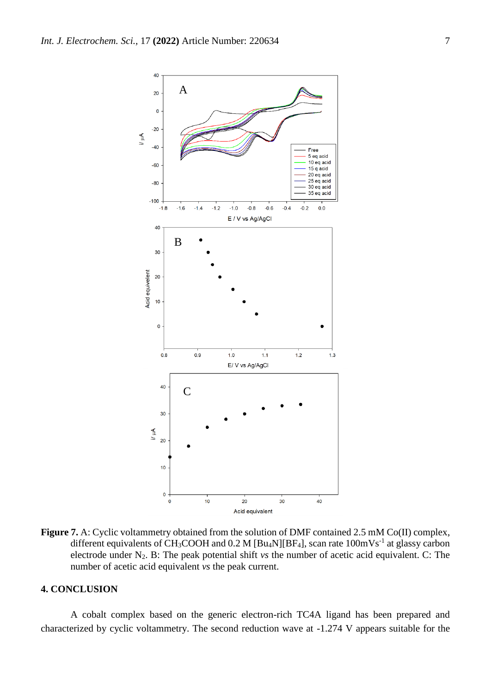

Figure 7. A: Cyclic voltammetry obtained from the solution of DMF contained 2.5 mM Co(II) complex, different equivalents of CH<sub>3</sub>COOH and  $0.2 M$  [Bu<sub>4</sub>N][BF<sub>4</sub>], scan rate  $100mVs^{-1}$  at glassy carbon electrode under N2. B: The peak potential shift *vs* the number of acetic acid equivalent. C: The number of acetic acid equivalent *vs* the peak current.

## **4. CONCLUSION**

A cobalt complex based on the generic electron-rich TC4A ligand has been prepared and characterized by cyclic voltammetry. The second reduction wave at -1.274 V appears suitable for the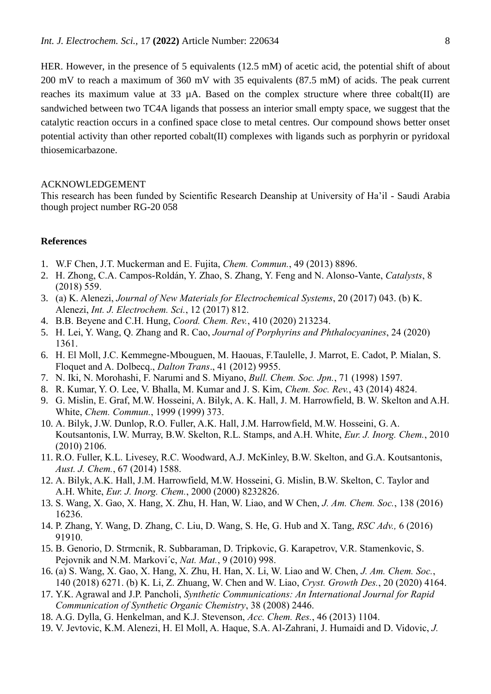HER. However, in the presence of 5 equivalents (12.5 mM) of acetic acid, the potential shift of about 200 mV to reach a maximum of 360 mV with 35 equivalents (87.5 mM) of acids. The peak current reaches its maximum value at  $33 \mu A$ . Based on the complex structure where three cobalt(II) are sandwiched between two TC4A ligands that possess an interior small empty space, we suggest that the catalytic reaction occurs in a confined space close to metal centres. Our compound shows better onset potential activity than other reported cobalt(II) complexes with ligands such as porphyrin or pyridoxal thiosemicarbazone.

#### ACKNOWLEDGEMENT

This research has been funded by Scientific Research Deanship at University of Ha'il - Saudi Arabia though project number RG-20 058

# **References**

- 1. W.F Chen, J.T. Muckerman and E. Fujita, *[Chem. Commun.](http://pubs.rsc.org/en/journals/journal/cc)*, 49 (2013) 8896.
- 2. H. Zhong, C.A. Campos-Roldán, Y. Zhao, S. Zhang, Y. Feng and N. Alonso-Vante, *Catalysts*, 8 (2018) 559.
- 3. (a) K. Alenezi, *Journal of New Materials for Electrochemical Systems*, 20 (2017) 043. (b) K. Alenezi, *Int. J. Electrochem. Sci.*, 12 (2017) 812.
- 4. B.B. Beyene and C.H. Hung, *Coord. Chem. Rev.*, 410 (2020) 213234.
- 5. H. Lei, Y. Wang, Q. Zhang and R. Cao, *[Journal of Porphyrins and Phthalocyanines](https://www.worldscientific.com/worldscinet/jpp)*, 24 (2020) 1361.
- 6. H. El Moll, J.C. Kemmegne-Mbouguen, M. Haouas, F.Taulelle, J. Marrot, E. Cadot, P. Mialan, S. Floquet and A. Dolbecq., *Dalton Trans*., 41 (2012) 9955.
- 7. N. Iki, N. Morohashi, F. Narumi and S. Miyano, *Bull. Chem. Soc. Jpn.*, 71 (1998) 1597.
- 8. R. Kumar, Y. O. Lee, V. Bhalla, M. Kumar and J. S. Kim, *Chem. Soc. Rev.*, 43 (2014) 4824.
- 9. G. Mislin, E. Graf, M.W. Hosseini, A. Bilyk, A. K. Hall, J. M. Harrowfield, B. W. Skelton and A.H. White, *Chem. Commun.*, 1999 (1999) 373.
- 10. A. Bilyk, J.W. Dunlop, R.O. Fuller, A.K. Hall, J.M. Harrowfield, M.W. Hosseini, G. A. Koutsantonis, I.W. Murray, B.W. Skelton, R.L. Stamps, and A.H. White, *Eur. J. Inorg. Chem.*, 2010 (2010) 2106.
- 11. R.O. Fuller, K.L. Livesey, R.C. Woodward, A.J. McKinley, B.W. Skelton, and G.A. Koutsantonis, *Aust. J. Chem.*, 67 (2014) 1588.
- 12. A. Bilyk, A.K. Hall, J.M. Harrowfield, M.W. Hosseini, G. Mislin, B.W. Skelton, C. Taylor and A.H. White, *Eur. J. Inorg. Chem.*, 2000 (2000) 8232826.
- 13. S. Wang, X. Gao, X. Hang, X. Zhu, H. Han, W. Liao, and W Chen, *[J. Am. Chem. Soc.](http://pubs.rsc.org/en/journals/journal/cc)*, 138 (2016) 16236.
- 14. P. Zhang, Y. Wang, D. Zhang, C. Liu, D. Wang, S. He, G. Hub and X. Tang, *[RSC](http://pubs.rsc.org/en/journals/journal/cc) Adv.,* 6 (2016) 91910.
- 15. B. Genorio, D. Strmcnik, R. Subbaraman, D. Tripkovic, G. Karapetrov, V.R. Stamenkovic, S. Pejovnik and N.M. Markovi´c, *Nat. Mat.*, 9 (2010) 998.
- 16. (a) S. Wang, X. Gao, X. Hang, X. Zhu, H. Han, X. Li, W. Liao and W. Chen, *[J. Am. Chem. Soc.](http://pubs.rsc.org/en/journals/journal/cc)*, 140 (2018) 6271. (b) K. Li, Z. Zhuang, W. Chen and W. Liao, *Cryst. Growth Des.*, 20 (2020) 4164.
- 17. Y.K. Agrawal and J.P. Pancholi, *Synthetic Communications: An International Journal for Rapid Communication of Synthetic Organic Chemistry*, 38 (2008) 2446.
- 18. A.G. Dylla, G. Henkelman, and K.J. Stevenson, *Acc. Chem. Res.*, 46 (2013) 1104.
- 19. V. Jevtovic, K.M. Alenezi, H. El Moll, A. Haque, S.A. Al-Zahrani, J. Humaidi and D. Vidovic, *J.*